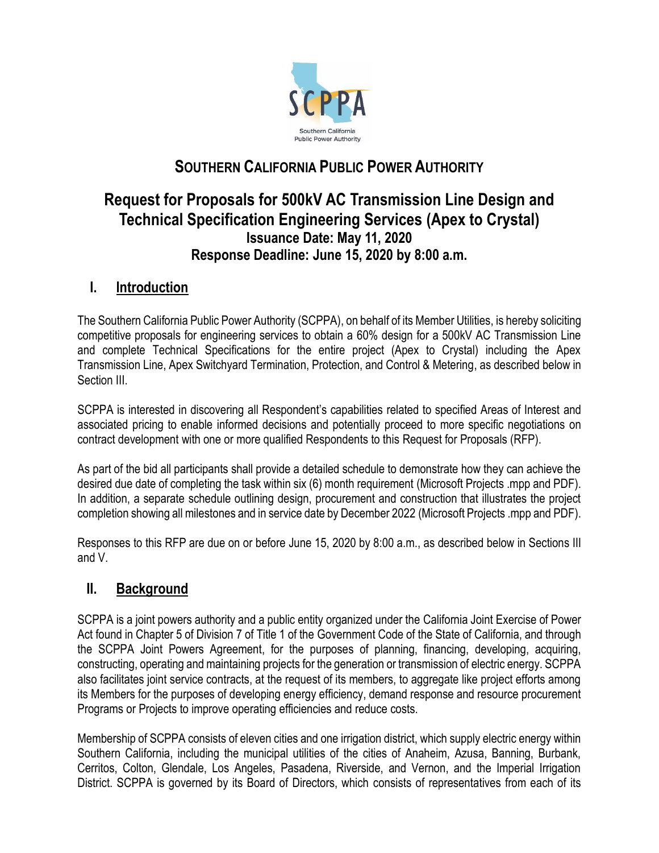

# **SOUTHERN CALIFORNIA PUBLIC POWER AUTHORITY**

# **Request for Proposals for 500kV AC Transmission Line Design and Technical Specification Engineering Services (Apex to Crystal) Issuance Date: May 11, 2020 Response Deadline: June 15, 2020 by 8:00 a.m.**

## **I. Introduction**

The Southern California Public Power Authority (SCPPA), on behalf of its Member Utilities, is hereby soliciting competitive proposals for engineering services to obtain a 60% design for a 500kV AC Transmission Line and complete Technical Specifications for the entire project (Apex to Crystal) including the Apex Transmission Line, Apex Switchyard Termination, Protection, and Control & Metering, as described below in Section III.

SCPPA is interested in discovering all Respondent's capabilities related to specified Areas of Interest and associated pricing to enable informed decisions and potentially proceed to more specific negotiations on contract development with one or more qualified Respondents to this Request for Proposals (RFP).

As part of the bid all participants shall provide a detailed schedule to demonstrate how they can achieve the desired due date of completing the task within six (6) month requirement (Microsoft Projects .mpp and PDF). In addition, a separate schedule outlining design, procurement and construction that illustrates the project completion showing all milestones and in service date by December 2022 (Microsoft Projects .mpp and PDF).

Responses to this RFP are due on or before June 15, 2020 by 8:00 a.m., as described below in Sections III and V.

## **II. Background**

SCPPA is a joint powers authority and a public entity organized under the California Joint Exercise of Power Act found in Chapter 5 of Division 7 of Title 1 of the Government Code of the State of California, and through the SCPPA Joint Powers Agreement, for the purposes of planning, financing, developing, acquiring, constructing, operating and maintaining projects for the generation or transmission of electric energy. SCPPA also facilitates joint service contracts, at the request of its members, to aggregate like project efforts among its Members for the purposes of developing energy efficiency, demand response and resource procurement Programs or Projects to improve operating efficiencies and reduce costs.

Membership of SCPPA consists of eleven cities and one irrigation district, which supply electric energy within Southern California, including the municipal utilities of the cities of Anaheim, Azusa, Banning, Burbank, Cerritos, Colton, Glendale, Los Angeles, Pasadena, Riverside, and Vernon, and the Imperial Irrigation District. SCPPA is governed by its Board of Directors, which consists of representatives from each of its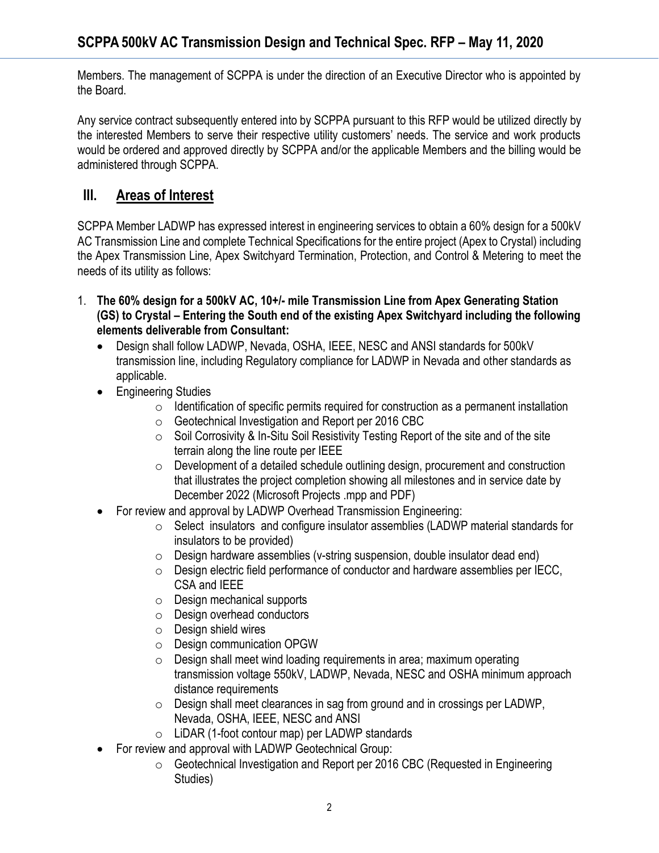Members. The management of SCPPA is under the direction of an Executive Director who is appointed by the Board.

Any service contract subsequently entered into by SCPPA pursuant to this RFP would be utilized directly by the interested Members to serve their respective utility customers' needs. The service and work products would be ordered and approved directly by SCPPA and/or the applicable Members and the billing would be administered through SCPPA.

## **III. Areas of Interest**

SCPPA Member LADWP has expressed interest in engineering services to obtain a 60% design for a 500kV AC Transmission Line and complete Technical Specifications for the entire project (Apex to Crystal) including the Apex Transmission Line, Apex Switchyard Termination, Protection, and Control & Metering to meet the needs of its utility as follows:

- 1. **The 60% design for a 500kV AC, 10+/- mile Transmission Line from Apex Generating Station (GS) to Crystal – Entering the South end of the existing Apex Switchyard including the following elements deliverable from Consultant:**
	- Design shall follow LADWP, Nevada, OSHA, IEEE, NESC and ANSI standards for 500kV transmission line, including Regulatory compliance for LADWP in Nevada and other standards as applicable.
	- Engineering Studies
		- $\circ$  Identification of specific permits required for construction as a permanent installation
		- o Geotechnical Investigation and Report per 2016 CBC
		- $\circ$  Soil Corrosivity & In-Situ Soil Resistivity Testing Report of the site and of the site terrain along the line route per IEEE
		- o Development of a detailed schedule outlining design, procurement and construction that illustrates the project completion showing all milestones and in service date by December 2022 (Microsoft Projects .mpp and PDF)
	- For review and approval by LADWP Overhead Transmission Engineering:
		- o Select insulators and configure insulator assemblies (LADWP material standards for insulators to be provided)
		- $\circ$  Design hardware assemblies (v-string suspension, double insulator dead end)
		- o Design electric field performance of conductor and hardware assemblies per IECC, CSA and IEEE
		- o Design mechanical supports
		- o Design overhead conductors
		- o Design shield wires
		- o Design communication OPGW
		- $\circ$  Design shall meet wind loading requirements in area; maximum operating transmission voltage 550kV, LADWP, Nevada, NESC and OSHA minimum approach distance requirements
		- o Design shall meet clearances in sag from ground and in crossings per LADWP, Nevada, OSHA, IEEE, NESC and ANSI
		- o LiDAR (1-foot contour map) per LADWP standards
	- For review and approval with LADWP Geotechnical Group:
		- o Geotechnical Investigation and Report per 2016 CBC (Requested in Engineering Studies)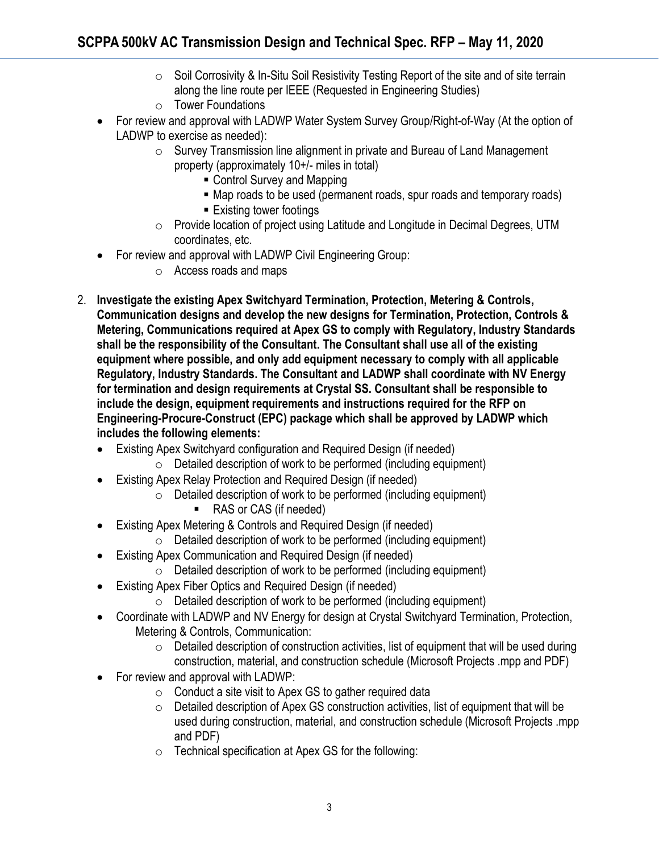- o Soil Corrosivity & In-Situ Soil Resistivity Testing Report of the site and of site terrain along the line route per IEEE (Requested in Engineering Studies)
- o Tower Foundations
- For review and approval with LADWP Water System Survey Group/Right-of-Way (At the option of LADWP to exercise as needed):
	- o Survey Transmission line alignment in private and Bureau of Land Management property (approximately 10+/- miles in total)
		- Control Survey and Mapping
		- Map roads to be used (permanent roads, spur roads and temporary roads)
		- Existing tower footings
	- o Provide location of project using Latitude and Longitude in Decimal Degrees, UTM coordinates, etc.
- For review and approval with LADWP Civil Engineering Group:
	- o Access roads and maps
- 2. **Investigate the existing Apex Switchyard Termination, Protection, Metering & Controls, Communication designs and develop the new designs for Termination, Protection, Controls & Metering, Communications required at Apex GS to comply with Regulatory, Industry Standards shall be the responsibility of the Consultant. The Consultant shall use all of the existing equipment where possible, and only add equipment necessary to comply with all applicable Regulatory, Industry Standards. The Consultant and LADWP shall coordinate with NV Energy for termination and design requirements at Crystal SS. Consultant shall be responsible to include the design, equipment requirements and instructions required for the RFP on Engineering-Procure-Construct (EPC) package which shall be approved by LADWP which includes the following elements:**
	- Existing Apex Switchyard configuration and Required Design (if needed)
		- $\circ$  Detailed description of work to be performed (including equipment)
	- Existing Apex Relay Protection and Required Design (if needed)
		- $\circ$  Detailed description of work to be performed (including equipment)
			- RAS or CAS (if needed)
	- Existing Apex Metering & Controls and Required Design (if needed)
		- $\circ$  Detailed description of work to be performed (including equipment)
	- Existing Apex Communication and Required Design (if needed)
		- $\circ$  Detailed description of work to be performed (including equipment)
	- Existing Apex Fiber Optics and Required Design (if needed)
		- $\circ$  Detailed description of work to be performed (including equipment)
	- Coordinate with LADWP and NV Energy for design at Crystal Switchyard Termination, Protection, Metering & Controls, Communication:
		- $\circ$  Detailed description of construction activities, list of equipment that will be used during construction, material, and construction schedule (Microsoft Projects .mpp and PDF)
	- For review and approval with LADWP:
		- $\circ$  Conduct a site visit to Apex GS to gather required data
		- $\circ$  Detailed description of Apex GS construction activities, list of equipment that will be used during construction, material, and construction schedule (Microsoft Projects .mpp and PDF)
		- o Technical specification at Apex GS for the following: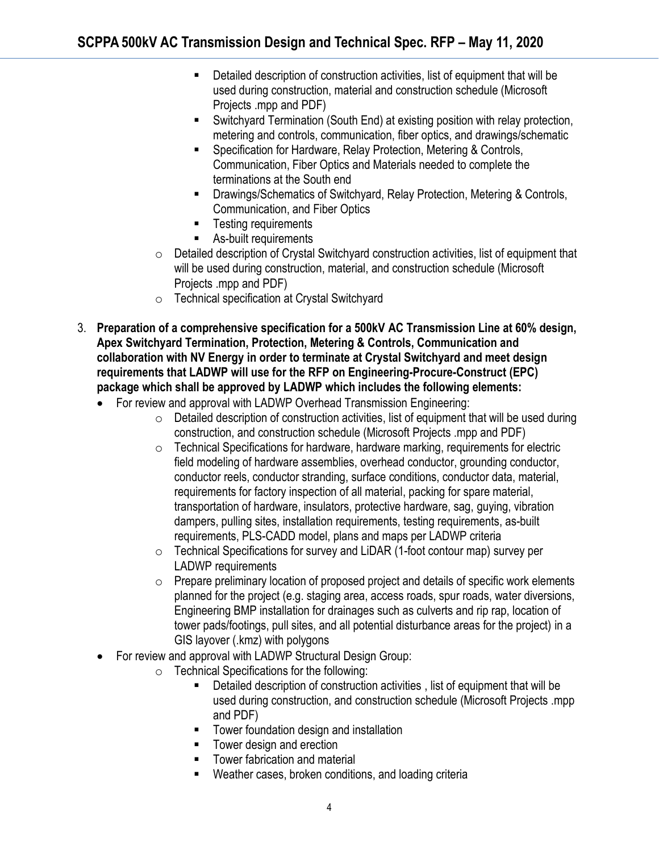- Detailed description of construction activities, list of equipment that will be used during construction, material and construction schedule (Microsoft Projects .mpp and PDF)
- Switchyard Termination (South End) at existing position with relay protection, metering and controls, communication, fiber optics, and drawings/schematic
- Specification for Hardware, Relay Protection, Metering & Controls, Communication, Fiber Optics and Materials needed to complete the terminations at the South end
- Drawings/Schematics of Switchyard, Relay Protection, Metering & Controls, Communication, and Fiber Optics
- Testing requirements
- As-built requirements
- $\circ$  Detailed description of Crystal Switchyard construction activities, list of equipment that will be used during construction, material, and construction schedule (Microsoft Projects .mpp and PDF)
- o Technical specification at Crystal Switchyard
- 3. **Preparation of a comprehensive specification for a 500kV AC Transmission Line at 60% design, Apex Switchyard Termination, Protection, Metering & Controls, Communication and collaboration with NV Energy in order to terminate at Crystal Switchyard and meet design requirements that LADWP will use for the RFP on Engineering-Procure-Construct (EPC) package which shall be approved by LADWP which includes the following elements:**
	- For review and approval with LADWP Overhead Transmission Engineering:
		- $\circ$  Detailed description of construction activities, list of equipment that will be used during construction, and construction schedule (Microsoft Projects .mpp and PDF)
		- $\circ$  Technical Specifications for hardware, hardware marking, requirements for electric field modeling of hardware assemblies, overhead conductor, grounding conductor, conductor reels, conductor stranding, surface conditions, conductor data, material, requirements for factory inspection of all material, packing for spare material, transportation of hardware, insulators, protective hardware, sag, guying, vibration dampers, pulling sites, installation requirements, testing requirements, as-built requirements, PLS-CADD model, plans and maps per LADWP criteria
		- o Technical Specifications for survey and LiDAR (1-foot contour map) survey per LADWP requirements
		- $\circ$  Prepare preliminary location of proposed project and details of specific work elements planned for the project (e.g. staging area, access roads, spur roads, water diversions, Engineering BMP installation for drainages such as culverts and rip rap, location of tower pads/footings, pull sites, and all potential disturbance areas for the project) in a GIS layover (.kmz) with polygons
	- For review and approval with LADWP Structural Design Group:
		- $\circ$  Technical Specifications for the following:
			- Detailed description of construction activities, list of equipment that will be used during construction, and construction schedule (Microsoft Projects .mpp and PDF)
			- Tower foundation design and installation
			- Tower design and erection
			- Tower fabrication and material
			- Weather cases, broken conditions, and loading criteria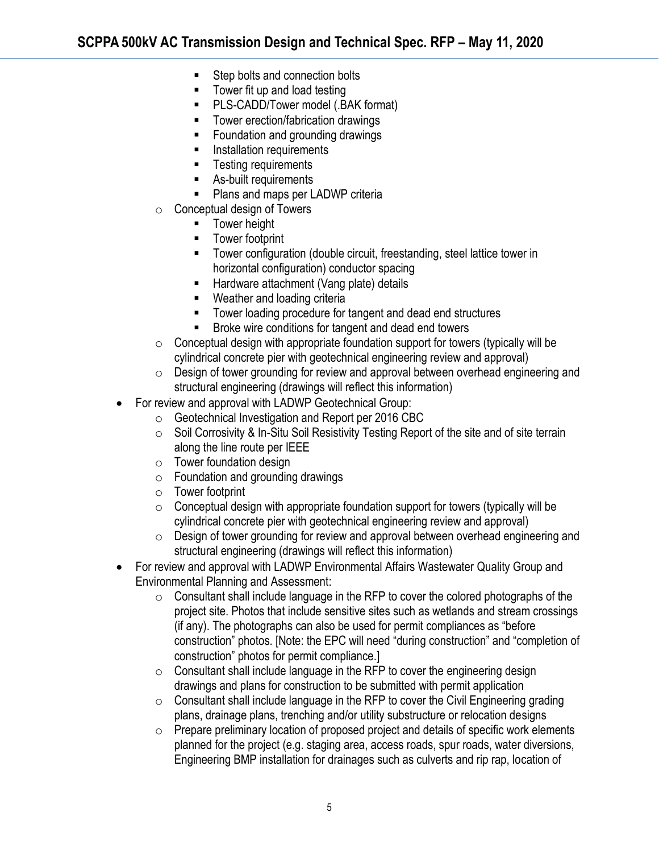- Step bolts and connection bolts
- Tower fit up and load testing
- PLS-CADD/Tower model (.BAK format)
- Tower erection/fabrication drawings
- Foundation and grounding drawings
- **■** Installation requirements
- Testing requirements
- As-built requirements
- Plans and maps per LADWP criteria
- o Conceptual design of Towers
	- Tower height
		- Tower footprint
		- Tower configuration (double circuit, freestanding, steel lattice tower in horizontal configuration) conductor spacing
	- Hardware attachment (Vang plate) details
	- Weather and loading criteria
	- Tower loading procedure for tangent and dead end structures
	- Broke wire conditions for tangent and dead end towers
- $\circ$  Conceptual design with appropriate foundation support for towers (typically will be cylindrical concrete pier with geotechnical engineering review and approval)
- o Design of tower grounding for review and approval between overhead engineering and structural engineering (drawings will reflect this information)
- For review and approval with LADWP Geotechnical Group:
	- o Geotechnical Investigation and Report per 2016 CBC
	- o Soil Corrosivity & In-Situ Soil Resistivity Testing Report of the site and of site terrain along the line route per IEEE
	- $\circ$  Tower foundation design
	- $\circ$  Foundation and grounding drawings
	- o Tower footprint
	- $\circ$  Conceptual design with appropriate foundation support for towers (typically will be cylindrical concrete pier with geotechnical engineering review and approval)
	- $\circ$  Design of tower grounding for review and approval between overhead engineering and structural engineering (drawings will reflect this information)
- For review and approval with LADWP Environmental Affairs Wastewater Quality Group and Environmental Planning and Assessment:
	- $\circ$  Consultant shall include language in the RFP to cover the colored photographs of the project site. Photos that include sensitive sites such as wetlands and stream crossings (if any). The photographs can also be used for permit compliances as "before construction" photos. [Note: the EPC will need "during construction" and "completion of construction" photos for permit compliance.]
	- $\circ$  Consultant shall include language in the RFP to cover the engineering design drawings and plans for construction to be submitted with permit application
	- $\circ$  Consultant shall include language in the RFP to cover the Civil Engineering grading plans, drainage plans, trenching and/or utility substructure or relocation designs
	- o Prepare preliminary location of proposed project and details of specific work elements planned for the project (e.g. staging area, access roads, spur roads, water diversions, Engineering BMP installation for drainages such as culverts and rip rap, location of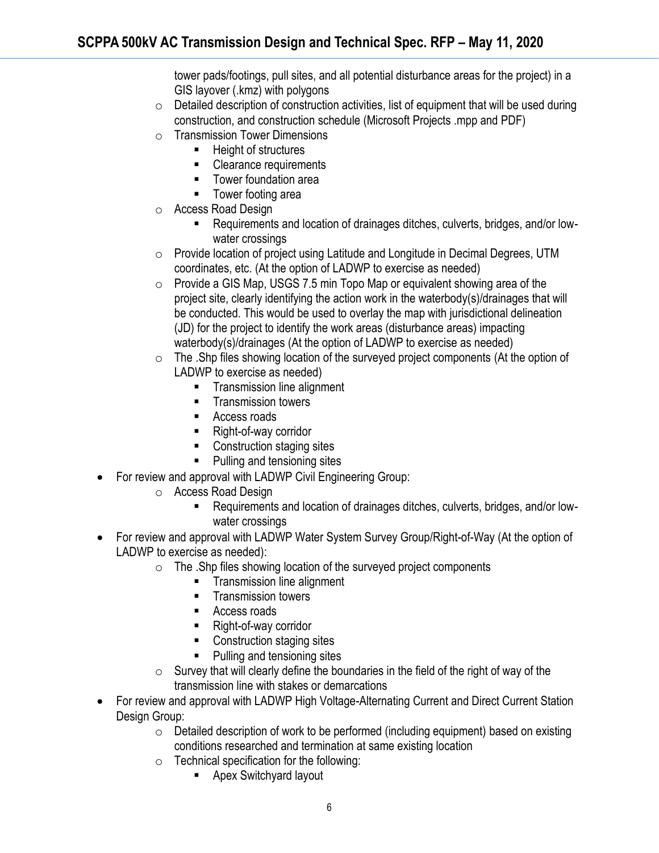tower pads/footings, pull sites, and all potential disturbance areas for the project) in a GIS layover (.kmz) with polygons

- $\circ$  Detailed description of construction activities, list of equipment that will be used during construction, and construction schedule (Microsoft Projects .mpp and PDF)
- o Transmission Tower Dimensions
	- Height of structures
	- Clearance requirements
	- Tower foundation area
	- Tower footing area
- o Access Road Design
	- Requirements and location of drainages ditches, culverts, bridges, and/or lowwater crossings
- o Provide location of project using Latitude and Longitude in Decimal Degrees, UTM coordinates, etc. (At the option of LADWP to exercise as needed)
- $\circ$  Provide a GIS Map, USGS 7.5 min Topo Map or equivalent showing area of the project site, clearly identifying the action work in the waterbody(s)/drainages that will be conducted. This would be used to overlay the map with jurisdictional delineation (JD) for the project to identify the work areas (disturbance areas) impacting waterbody(s)/drainages (At the option of LADWP to exercise as needed)
- o The .Shp files showing location of the surveyed project components (At the option of LADWP to exercise as needed)
	- **•** Transmission line alignment
	- Transmission towers
	- Access roads
	- Right-of-way corridor
	- Construction staging sites
	- Pulling and tensioning sites
- For review and approval with LADWP Civil Engineering Group:
	- o Access Road Design
		- Requirements and location of drainages ditches, culverts, bridges, and/or lowwater crossings
- For review and approval with LADWP Water System Survey Group/Right-of-Way (At the option of LADWP to exercise as needed):
	- $\circ$  The .Shp files showing location of the surveyed project components
		- Transmission line alignment
		- Transmission towers
		- Access roads
		- Right-of-way corridor
		- Construction staging sites
		- Pulling and tensioning sites
	- o Survey that will clearly define the boundaries in the field of the right of way of the transmission line with stakes or demarcations
- For review and approval with LADWP High Voltage-Alternating Current and Direct Current Station Design Group:
	- $\circ$  Detailed description of work to be performed (including equipment) based on existing conditions researched and termination at same existing location
	- $\circ$  Technical specification for the following:
		- Apex Switchyard layout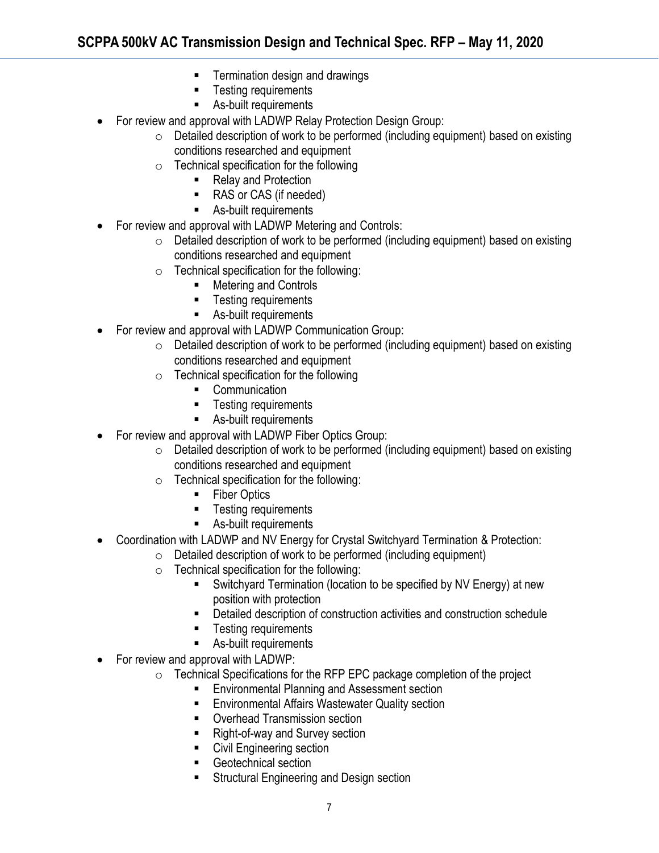- Termination design and drawings
- Testing requirements
- As-built requirements
- For review and approval with LADWP Relay Protection Design Group:
	- $\circ$  Detailed description of work to be performed (including equipment) based on existing conditions researched and equipment
	- $\circ$  Technical specification for the following
		- Relay and Protection
		- RAS or CAS (if needed)
		- As-built requirements
- For review and approval with LADWP Metering and Controls:
	- $\circ$  Detailed description of work to be performed (including equipment) based on existing conditions researched and equipment
	- $\circ$  Technical specification for the following:
		- Metering and Controls
		- Testing requirements
		- As-built requirements
- For review and approval with LADWP Communication Group:
	- o Detailed description of work to be performed (including equipment) based on existing conditions researched and equipment
	- $\circ$  Technical specification for the following
		- Communication
		- **EXECUTE:** Testing requirements
		- As-built requirements
- For review and approval with LADWP Fiber Optics Group:
	- o Detailed description of work to be performed (including equipment) based on existing conditions researched and equipment
	- o Technical specification for the following:
		- Fiber Optics
		- Testing requirements
		- As-built requirements
- Coordination with LADWP and NV Energy for Crystal Switchyard Termination & Protection:
	- $\circ$  Detailed description of work to be performed (including equipment)
	- $\circ$  Technical specification for the following:
		- Switchyard Termination (location to be specified by NV Energy) at new position with protection
		- Detailed description of construction activities and construction schedule
		- Testing requirements
		- As-built requirements
- For review and approval with LADWP:
	- o Technical Specifications for the RFP EPC package completion of the project
		- Environmental Planning and Assessment section
		- **Environmental Affairs Wastewater Quality section**
		- Overhead Transmission section
		- Right-of-way and Survey section
		- Civil Engineering section
		- Geotechnical section
		- Structural Engineering and Design section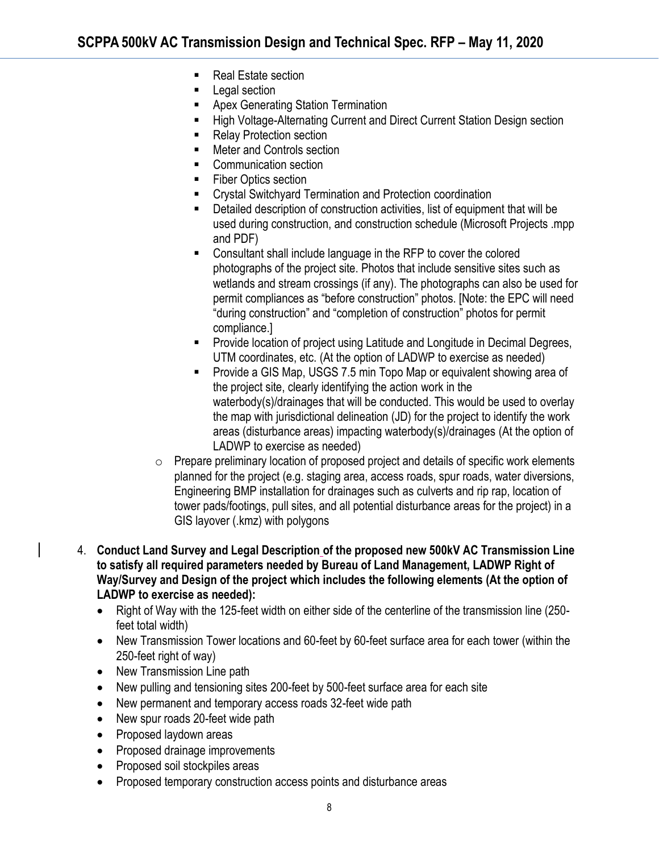- Real Estate section
- Legal section
- **Apex Generating Station Termination**
- **High Voltage-Alternating Current and Direct Current Station Design section**
- **Relay Protection section**
- Meter and Controls section
- Communication section
- **Fiber Optics section**
- Crystal Switchyard Termination and Protection coordination
- Detailed description of construction activities, list of equipment that will be used during construction, and construction schedule (Microsoft Projects .mpp and PDF)
- Consultant shall include language in the RFP to cover the colored photographs of the project site. Photos that include sensitive sites such as wetlands and stream crossings (if any). The photographs can also be used for permit compliances as "before construction" photos. [Note: the EPC will need "during construction" and "completion of construction" photos for permit compliance.]
- Provide location of project using Latitude and Longitude in Decimal Degrees, UTM coordinates, etc. (At the option of LADWP to exercise as needed)
- Provide a GIS Map, USGS 7.5 min Topo Map or equivalent showing area of the project site, clearly identifying the action work in the waterbody(s)/drainages that will be conducted. This would be used to overlay the map with jurisdictional delineation (JD) for the project to identify the work areas (disturbance areas) impacting waterbody(s)/drainages (At the option of LADWP to exercise as needed)
- $\circ$  Prepare preliminary location of proposed project and details of specific work elements planned for the project (e.g. staging area, access roads, spur roads, water diversions, Engineering BMP installation for drainages such as culverts and rip rap, location of tower pads/footings, pull sites, and all potential disturbance areas for the project) in a GIS layover (.kmz) with polygons
- 4. **Conduct Land Survey and Legal Description of the proposed new 500kV AC Transmission Line to satisfy all required parameters needed by Bureau of Land Management, LADWP Right of Way/Survey and Design of the project which includes the following elements (At the option of LADWP to exercise as needed):**
	- Right of Way with the 125-feet width on either side of the centerline of the transmission line (250 feet total width)
	- New Transmission Tower locations and 60-feet by 60-feet surface area for each tower (within the 250-feet right of way)
	- New Transmission Line path
	- New pulling and tensioning sites 200-feet by 500-feet surface area for each site
	- New permanent and temporary access roads 32-feet wide path
	- New spur roads 20-feet wide path
	- Proposed laydown areas
	- Proposed drainage improvements
	- Proposed soil stockpiles areas
	- Proposed temporary construction access points and disturbance areas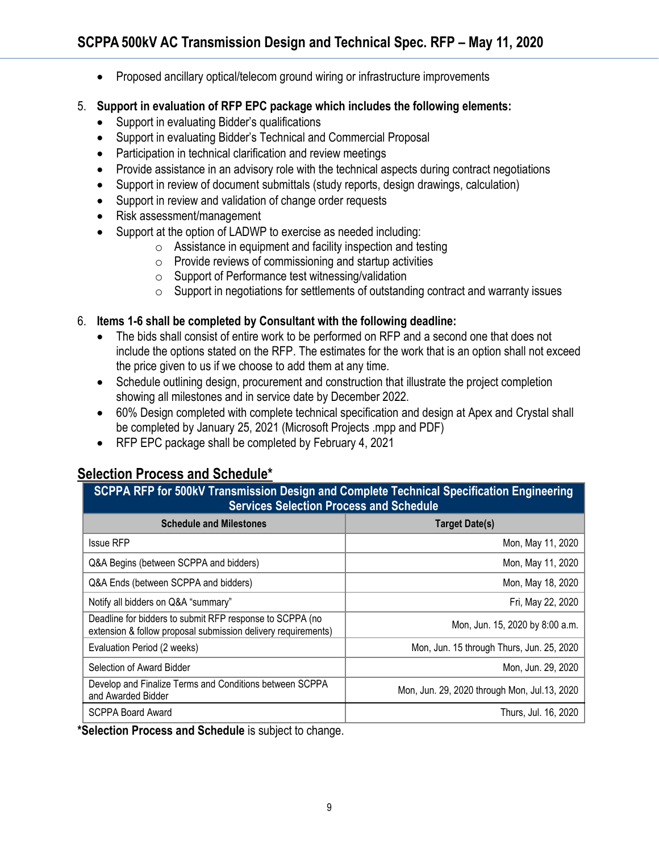- Proposed ancillary optical/telecom ground wiring or infrastructure improvements
- 5. **Support in evaluation of RFP EPC package which includes the following elements:**
	- Support in evaluating Bidder's qualifications
	- Support in evaluating Bidder's Technical and Commercial Proposal
	- Participation in technical clarification and review meetings
	- Provide assistance in an advisory role with the technical aspects during contract negotiations
	- Support in review of document submittals (study reports, design drawings, calculation)
	- Support in review and validation of change order requests
	- Risk assessment/management
	- Support at the option of LADWP to exercise as needed including:
		- $\circ$  Assistance in equipment and facility inspection and testing
		- $\circ$  Provide reviews of commissioning and startup activities
		- o Support of Performance test witnessing/validation
		- $\circ$  Support in negotiations for settlements of outstanding contract and warranty issues

#### 6. **Items 1-6 shall be completed by Consultant with the following deadline:**

- The bids shall consist of entire work to be performed on RFP and a second one that does not include the options stated on the RFP. The estimates for the work that is an option shall not exceed the price given to us if we choose to add them at any time.
- Schedule outlining design, procurement and construction that illustrate the project completion showing all milestones and in service date by December 2022.
- 60% Design completed with complete technical specification and design at Apex and Crystal shall be completed by January 25, 2021 (Microsoft Projects .mpp and PDF)
- RFP EPC package shall be completed by February 4, 2021

# **Selection Process and Schedule\***

| SCPPA RFP for 500kV Transmission Design and Complete Technical Specification Engineering |  |  |
|------------------------------------------------------------------------------------------|--|--|
| <b>Services Selection Process and Schedule</b>                                           |  |  |

| <b>Schedule and Milestones</b>                                                                                            | <b>Target Date(s)</b>                        |
|---------------------------------------------------------------------------------------------------------------------------|----------------------------------------------|
| <b>Issue RFP</b>                                                                                                          | Mon, May 11, 2020                            |
| Q&A Begins (between SCPPA and bidders)                                                                                    | Mon, May 11, 2020                            |
| Q&A Ends (between SCPPA and bidders)                                                                                      | Mon, May 18, 2020                            |
| Notify all bidders on Q&A "summary"                                                                                       | Fri, May 22, 2020                            |
| Deadline for bidders to submit RFP response to SCPPA (no<br>extension & follow proposal submission delivery requirements) | Mon, Jun. 15, 2020 by 8:00 a.m.              |
| Evaluation Period (2 weeks)                                                                                               | Mon, Jun. 15 through Thurs, Jun. 25, 2020    |
| Selection of Award Bidder                                                                                                 | Mon, Jun. 29, 2020                           |
| Develop and Finalize Terms and Conditions between SCPPA<br>and Awarded Bidder                                             | Mon, Jun. 29, 2020 through Mon, Jul.13, 2020 |
| <b>SCPPA Board Award</b>                                                                                                  | Thurs, Jul. 16, 2020                         |

**\*Selection Process and Schedule** is subject to change.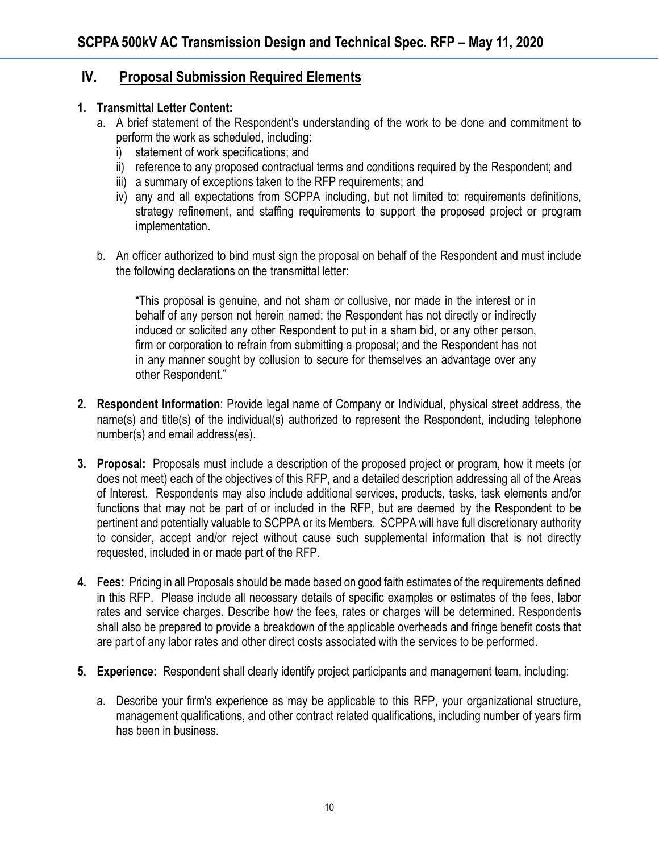### **IV. Proposal Submission Required Elements**

#### **1. Transmittal Letter Content:**

- a. A brief statement of the Respondent's understanding of the work to be done and commitment to perform the work as scheduled, including:
	- i) statement of work specifications; and
	- ii) reference to any proposed contractual terms and conditions required by the Respondent; and
	- iii) a summary of exceptions taken to the RFP requirements; and
	- iv) any and all expectations from SCPPA including, but not limited to: requirements definitions, strategy refinement, and staffing requirements to support the proposed project or program implementation.
- b. An officer authorized to bind must sign the proposal on behalf of the Respondent and must include the following declarations on the transmittal letter:

"This proposal is genuine, and not sham or collusive, nor made in the interest or in behalf of any person not herein named; the Respondent has not directly or indirectly induced or solicited any other Respondent to put in a sham bid, or any other person, firm or corporation to refrain from submitting a proposal; and the Respondent has not in any manner sought by collusion to secure for themselves an advantage over any other Respondent."

- **2. Respondent Information**: Provide legal name of Company or Individual, physical street address, the name(s) and title(s) of the individual(s) authorized to represent the Respondent, including telephone number(s) and email address(es).
- **3. Proposal:** Proposals must include a description of the proposed project or program, how it meets (or does not meet) each of the objectives of this RFP, and a detailed description addressing all of the Areas of Interest. Respondents may also include additional services, products, tasks, task elements and/or functions that may not be part of or included in the RFP, but are deemed by the Respondent to be pertinent and potentially valuable to SCPPA or its Members. SCPPA will have full discretionary authority to consider, accept and/or reject without cause such supplemental information that is not directly requested, included in or made part of the RFP.
- **4. Fees:** Pricing in all Proposals should be made based on good faith estimates of the requirements defined in this RFP. Please include all necessary details of specific examples or estimates of the fees, labor rates and service charges. Describe how the fees, rates or charges will be determined. Respondents shall also be prepared to provide a breakdown of the applicable overheads and fringe benefit costs that are part of any labor rates and other direct costs associated with the services to be performed.
- **5. Experience:** Respondent shall clearly identify project participants and management team, including:
	- a. Describe your firm's experience as may be applicable to this RFP, your organizational structure, management qualifications, and other contract related qualifications, including number of years firm has been in business.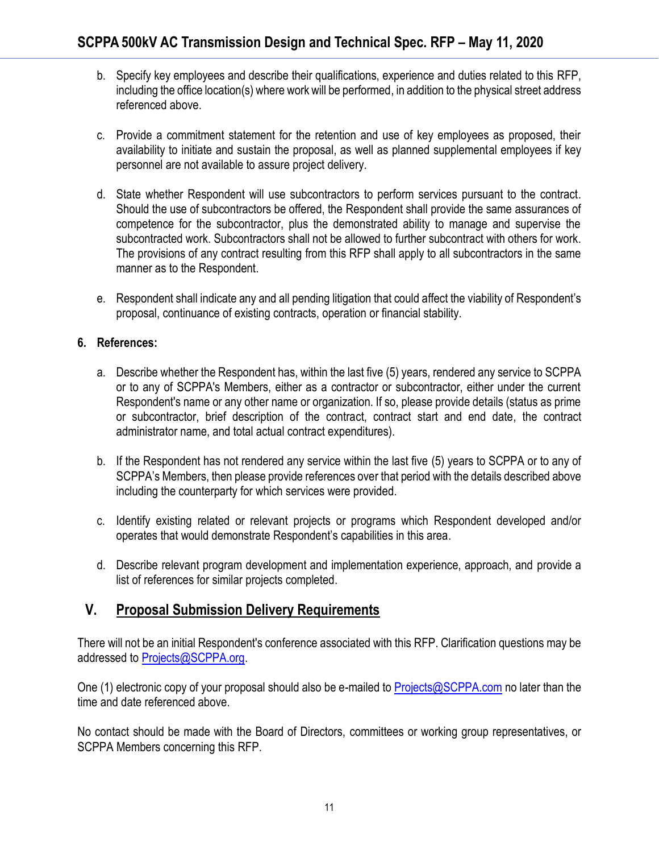- b. Specify key employees and describe their qualifications, experience and duties related to this RFP, including the office location(s) where work will be performed, in addition to the physical street address referenced above.
- c. Provide a commitment statement for the retention and use of key employees as proposed, their availability to initiate and sustain the proposal, as well as planned supplemental employees if key personnel are not available to assure project delivery.
- d. State whether Respondent will use subcontractors to perform services pursuant to the contract. Should the use of subcontractors be offered, the Respondent shall provide the same assurances of competence for the subcontractor, plus the demonstrated ability to manage and supervise the subcontracted work. Subcontractors shall not be allowed to further subcontract with others for work. The provisions of any contract resulting from this RFP shall apply to all subcontractors in the same manner as to the Respondent.
- e. Respondent shall indicate any and all pending litigation that could affect the viability of Respondent's proposal, continuance of existing contracts, operation or financial stability.

#### **6. References:**

- a. Describe whether the Respondent has, within the last five (5) years, rendered any service to SCPPA or to any of SCPPA's Members, either as a contractor or subcontractor, either under the current Respondent's name or any other name or organization. If so, please provide details (status as prime or subcontractor, brief description of the contract, contract start and end date, the contract administrator name, and total actual contract expenditures).
- b. If the Respondent has not rendered any service within the last five (5) years to SCPPA or to any of SCPPA's Members, then please provide references over that period with the details described above including the counterparty for which services were provided.
- c. Identify existing related or relevant projects or programs which Respondent developed and/or operates that would demonstrate Respondent's capabilities in this area.
- d. Describe relevant program development and implementation experience, approach, and provide a list of references for similar projects completed.

### **V. Proposal Submission Delivery Requirements**

There will not be an initial Respondent's conference associated with this RFP. Clarification questions may be addressed to [Projects@SCPPA.org.](mailto:Projects@SCPPA.org)

One (1) electronic copy of your proposal should also be e-mailed to [Projects@SCPPA.com](mailto:Projects@SCPPA.com) no later than the time and date referenced above.

No contact should be made with the Board of Directors, committees or working group representatives, or SCPPA Members concerning this RFP.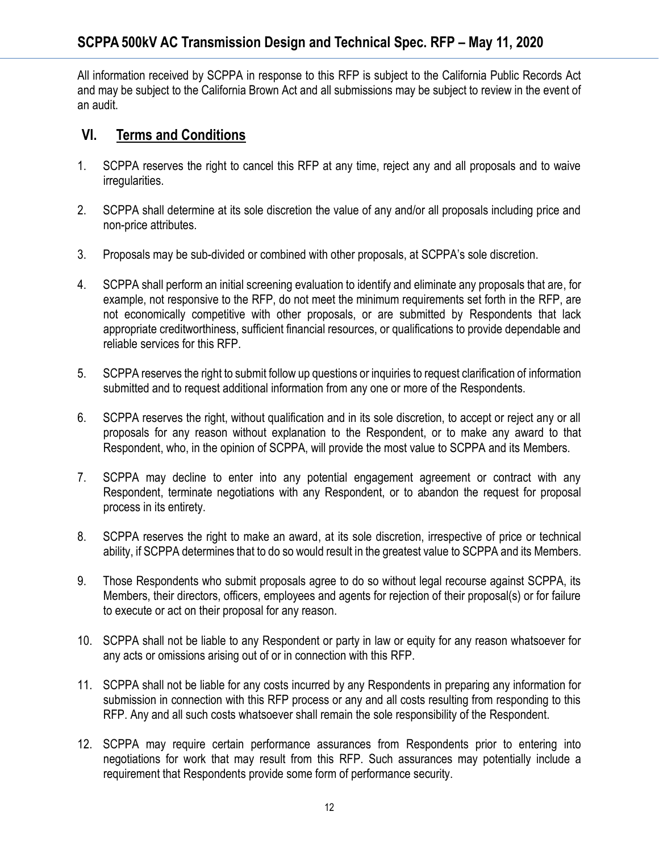All information received by SCPPA in response to this RFP is subject to the California Public Records Act and may be subject to the California Brown Act and all submissions may be subject to review in the event of an audit.

### **VI. Terms and Conditions**

- 1. SCPPA reserves the right to cancel this RFP at any time, reject any and all proposals and to waive irregularities.
- 2. SCPPA shall determine at its sole discretion the value of any and/or all proposals including price and non-price attributes.
- 3. Proposals may be sub-divided or combined with other proposals, at SCPPA's sole discretion.
- 4. SCPPA shall perform an initial screening evaluation to identify and eliminate any proposals that are, for example, not responsive to the RFP, do not meet the minimum requirements set forth in the RFP, are not economically competitive with other proposals, or are submitted by Respondents that lack appropriate creditworthiness, sufficient financial resources, or qualifications to provide dependable and reliable services for this RFP.
- 5. SCPPA reserves the right to submit follow up questions or inquiries to request clarification of information submitted and to request additional information from any one or more of the Respondents.
- 6. SCPPA reserves the right, without qualification and in its sole discretion, to accept or reject any or all proposals for any reason without explanation to the Respondent, or to make any award to that Respondent, who, in the opinion of SCPPA, will provide the most value to SCPPA and its Members.
- 7. SCPPA may decline to enter into any potential engagement agreement or contract with any Respondent, terminate negotiations with any Respondent, or to abandon the request for proposal process in its entirety.
- 8. SCPPA reserves the right to make an award, at its sole discretion, irrespective of price or technical ability, if SCPPA determines that to do so would result in the greatest value to SCPPA and its Members.
- 9. Those Respondents who submit proposals agree to do so without legal recourse against SCPPA, its Members, their directors, officers, employees and agents for rejection of their proposal(s) or for failure to execute or act on their proposal for any reason.
- 10. SCPPA shall not be liable to any Respondent or party in law or equity for any reason whatsoever for any acts or omissions arising out of or in connection with this RFP.
- 11. SCPPA shall not be liable for any costs incurred by any Respondents in preparing any information for submission in connection with this RFP process or any and all costs resulting from responding to this RFP. Any and all such costs whatsoever shall remain the sole responsibility of the Respondent.
- 12. SCPPA may require certain performance assurances from Respondents prior to entering into negotiations for work that may result from this RFP. Such assurances may potentially include a requirement that Respondents provide some form of performance security.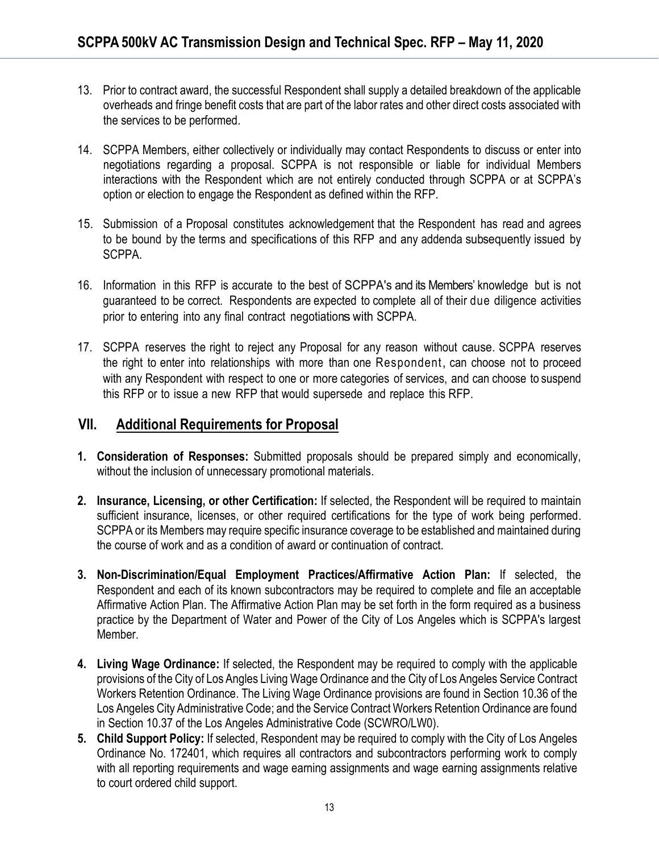- 13. Prior to contract award, the successful Respondent shall supply a detailed breakdown of the applicable overheads and fringe benefit costs that are part of the labor rates and other direct costs associated with the services to be performed.
- 14. SCPPA Members, either collectively or individually may contact Respondents to discuss or enter into negotiations regarding a proposal. SCPPA is not responsible or liable for individual Members interactions with the Respondent which are not entirely conducted through SCPPA or at SCPPA's option or election to engage the Respondent as defined within the RFP.
- 15. Submission of a Proposal constitutes acknowledgement that the Respondent has read and agrees to be bound by the terms and specifications of this RFP and any addenda subsequently issued by SCPPA.
- 16. Information in this RFP is accurate to the best of SCPPA's and its Members' knowledge but is not guaranteed to be correct. Respondents are expected to complete all of their due diligence activities prior to entering into any final contract negotiations with SCPPA.
- 17. SCPPA reserves the right to reject any Proposal for any reason without cause. SCPPA reserves the right to enter into relationships with more than one Respondent, can choose not to proceed with any Respondent with respect to one or more categories of services, and can choose to suspend this RFP or to issue a new RFP that would supersede and replace this RFP.

#### **VII. Additional Requirements for Proposal**

- **1. Consideration of Responses:** Submitted proposals should be prepared simply and economically, without the inclusion of unnecessary promotional materials.
- **2. Insurance, Licensing, or other Certification:** If selected, the Respondent will be required to maintain sufficient insurance, licenses, or other required certifications for the type of work being performed. SCPPA or its Members may require specific insurance coverage to be established and maintained during the course of work and as a condition of award or continuation of contract.
- **3. Non-Discrimination/Equal Employment Practices/Affirmative Action Plan:** If selected, the Respondent and each of its known subcontractors may be required to complete and file an acceptable Affirmative Action Plan. The Affirmative Action Plan may be set forth in the form required as a business practice by the Department of Water and Power of the City of Los Angeles which is SCPPA's largest Member.
- **4. Living Wage Ordinance:** If selected, the Respondent may be required to comply with the applicable provisions of the City of Los Angles Living Wage Ordinance and the City of Los Angeles Service Contract Workers Retention Ordinance. The Living Wage Ordinance provisions are found in Section 10.36 of the Los Angeles City Administrative Code; and the Service Contract Workers Retention Ordinance are found in Section 10.37 of the Los Angeles Administrative Code (SCWRO/LW0).
- **5. Child Support Policy:** If selected, Respondent may be required to comply with the City of Los Angeles Ordinance No. 172401, which requires all contractors and subcontractors performing work to comply with all reporting requirements and wage earning assignments and wage earning assignments relative to court ordered child support.